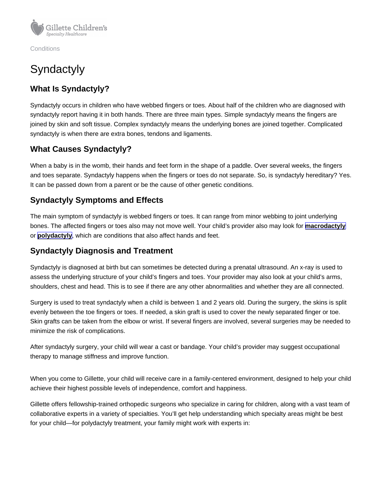**Conditions** 

# **Syndactyly**

### What Is Syndactyly?

Syndactyly occurs in children who have webbed fingers or toes. About half of the children who are diagnosed with syndactyly report having it in both hands. There are three main types. Simple syndactyly means the fingers are joined by skin and soft tissue. Complex syndactyly means the underlying bones are joined together. Complicated syndactyly is when there are extra bones, tendons and ligaments.

## What Causes Syndactyly?

When a baby is in the womb, their hands and feet form in the shape of a paddle. Over several weeks, the fingers and toes separate. Syndactyly happens when the fingers or toes do not separate. So, is syndactyly hereditary? Yes. It can be passed down from a parent or be the cause of other genetic conditions.

#### Syndactyly Symptoms and Effects

The main symptom of syndactyly is webbed fingers or toes. It can range from minor webbing to joint underlying bones. The affected fingers or toes also may not move well. Your child's provider also may look for [macrodactyly](https://www.gillettechildrens.org/conditions-care/macrodactyly) or [polydactyly](https://www.gillettechildrens.org/conditions-care/polydactyly) , which are conditions that also affect hands and feet.

#### Syndactyly Diagnosis and Treatment

Syndactyly is diagnosed at birth but can sometimes be detected during a prenatal ultrasound. An x-ray is used to assess the underlying structure of your child's fingers and toes. Your provider may also look at your child's arms, shoulders, chest and head. This is to see if there are any other abnormalities and whether they are all connected.

Surgery is used to treat syndactyly when a child is between 1 and 2 years old. During the surgery, the skins is split evenly between the toe fingers or toes. If needed, a skin graft is used to cover the newly separated finger or toe. Skin grafts can be taken from the elbow or wrist. If several fingers are involved, several surgeries may be needed to minimize the risk of complications.

After syndactyly surgery, your child will wear a cast or bandage. Your child's provider may suggest occupational therapy to manage stiffness and improve function.

When you come to Gillette, your child will receive care in a family-centered environment, designed to help your child achieve their highest possible levels of independence, comfort and happiness.

Gillette offers fellowship-trained orthopedic surgeons who specialize in caring for children, along with a vast team of collaborative experts in a variety of specialties. You'll get help understanding which specialty areas might be best for your child—for polydactyly treatment, your family might work with experts in: